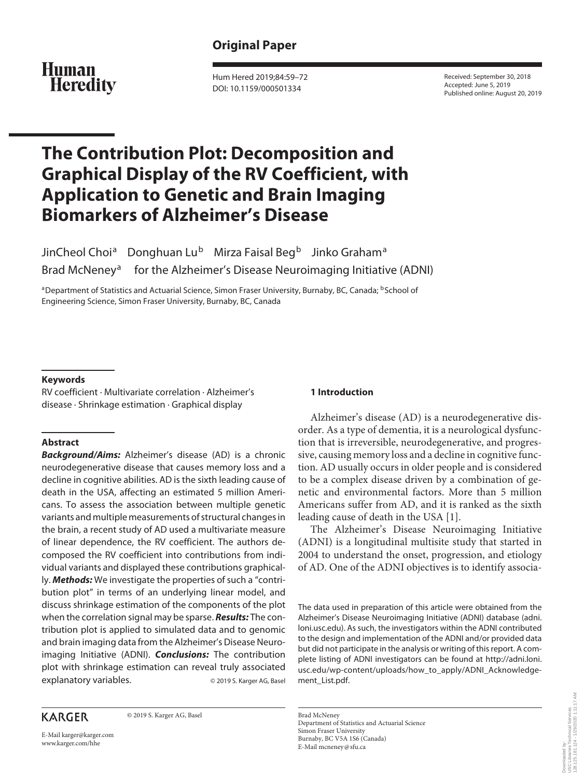## **Human Heredity**

Hum Hered 2019;84:59–72 DOI: 10.1159/000501334

Received: September 30, 2018 Accepted: June 5, 2019 Published online: August 20, 2019

# **The Contribution Plot: Decomposition and Graphical Display of the RV Coefficient, with Application to Genetic and Brain Imaging Biomarkers of Alzheimer's Disease**

JinCheol Choi<sup>a</sup> Donghuan Lu<sup>b</sup> Mirza Faisal Beg<sup>b</sup> Jinko Graham<sup>a</sup> Brad McNeney<sup>a</sup> for the Alzheimer's Disease Neuroimaging Initiative (ADNI)

aDepartment of Statistics and Actuarial Science, Simon Fraser University, Burnaby, BC, Canada; <sup>b</sup>School of Engineering Science, Simon Fraser University, Burnaby, BC, Canada

## **Keywords**

RV coefficient · Multivariate correlation · Alzheimer's disease · Shrinkage estimation · Graphical display

## **Abstract**

*Background/Aims:* Alzheimer's disease (AD) is a chronic neurodegenerative disease that causes memory loss and a decline in cognitive abilities. AD is the sixth leading cause of death in the USA, affecting an estimated 5 million Americans. To assess the association between multiple genetic variants and multiple measurements of structural changes in the brain, a recent study of AD used a multivariate measure of linear dependence, the RV coefficient. The authors decomposed the RV coefficient into contributions from individual variants and displayed these contributions graphically. *Methods:* We investigate the properties of such a "contribution plot" in terms of an underlying linear model, and discuss shrinkage estimation of the components of the plot when the correlation signal may be sparse. *Results:* The contribution plot is applied to simulated data and to genomic and brain imaging data from the Alzheimer's Disease Neuroimaging Initiative (ADNI). *Conclusions:* The contribution plot with shrinkage estimation can reveal truly associated explanatory variables. © 2019 S. Karger AG, Basel

## **KARGER**

© 2019 S. Karger AG, Basel

E-Mail karger@karger.com www.karger.com/hhe

## **1 Introduction**

Alzheimer's disease (AD) is a neurodegenerative disorder. As a type of dementia, it is a neurological dysfunction that is irreversible, neurodegenerative, and progressive, causing memory loss and a decline in cognitive function. AD usually occurs in older people and is considered to be a complex disease driven by a combination of genetic and environmental factors. More than 5 million Americans suffer from AD, and it is ranked as the sixth leading cause of death in the USA [[1\]](#page-12-0).

<span id="page-0-0"></span>The Alzheimer's Disease Neuroimaging Initiative (ADNI) is a longitudinal multisite study that started in 2004 to understand the onset, progression, and etiology of AD. One of the ADNI objectives is to identify associa-

The data used in preparation of this article were obtained from the Alzheimer's Disease Neuroimaging Initiative (ADNI) database (adni. loni.usc.edu). As such, the investigators within the ADNI contributed to the design and implementation of the ADNI and/or provided data but did not participate in the analysis or writing of this report. A complete listing of ADNI investigators can be found at http://adni.loni. usc.edu/wp-content/uploads/how\_to\_apply/ADNI\_Acknowledgement\_List.pdf.

Brad McNeney Department of Statistics and Actuarial Science Simon Fraser University Burnaby, BC V5A 1S6 (Canada) E-Mail mcneney@sfu.ca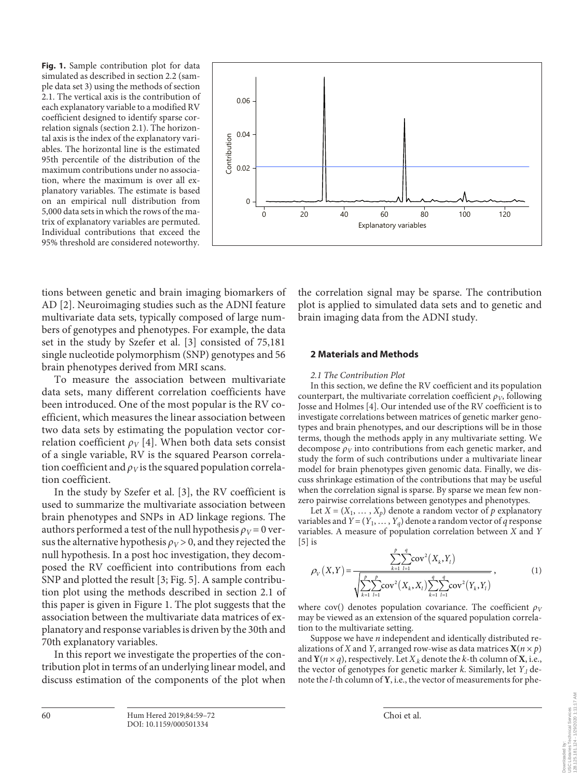**Fig. 1.** Sample contribution plot for data simulated as described in section 2.2 (sample data set 3) using the methods of section 2.1. The vertical axis is the contribution of each explanatory variable to a modified RV coefficient designed to identify sparse correlation signals (section 2.1). The horizontal axis is the index of the explanatory variables. The horizontal line is the estimated 95th percentile of the distribution of the maximum contributions under no association, where the maximum is over all explanatory variables. The estimate is based on an empirical null distribution from 5,000 data sets in which the rows of the matrix of explanatory variables are permuted. Individual contributions that exceed the 95% threshold are considered noteworthy.



<span id="page-1-0"></span>tions between genetic and brain imaging biomarkers of AD [[2\]](#page-12-1). Neuroimaging studies such as the ADNI feature multivariate data sets, typically composed of large numbers of genotypes and phenotypes. For example, the data set in the study by Szefer et al. [[3\]](#page-12-2) consisted of 75,181 single nucleotide polymorphism (SNP) genotypes and 56 brain phenotypes derived from MRI scans.

<span id="page-1-1"></span>To measure the association between multivariate data sets, many different correlation coefficients have been introduced. One of the most popular is the RV coefficient, which measures the linear association between two data sets by estimating the population vector correlation coefficient  $\rho_V$  [\[4\]](#page-12-3). When both data sets consist of a single variable, RV is the squared Pearson correlation coefficient and  $\rho_V$  is the squared population correlation coefficient.

In the study by Szefer et al. [\[3](#page-12-2)], the RV coefficient is used to summarize the multivariate association between brain phenotypes and SNPs in AD linkage regions. The authors performed a test of the null hypothesis  $\rho_V = 0$  versus the alternative hypothesis  $\rho_V > 0$ , and they rejected the null hypothesis. In a post hoc investigation, they decomposed the RV coefficient into contributions from each SNP and plotted the result [[3;](#page-12-2) Fig. 5]. A sample contribution plot using the methods described in section 2.1 of this paper is given in Figure 1. The plot suggests that the association between the multivariate data matrices of explanatory and response variables is driven by the 30th and 70th explanatory variables.

In this report we investigate the properties of the contribution plot in terms of an underlying linear model, and discuss estimation of the components of the plot when

the correlation signal may be sparse. The contribution plot is applied to simulated data sets and to genetic and brain imaging data from the ADNI study.

#### **2 Materials and Methods**

#### *2.1 The Contribution Plot*

<span id="page-1-2"></span>In this section, we define the RV coefficient and its population counterpart, the multivariate correlation coefficient  $\rho_V$ , following Josse and Holmes [[4](#page-12-3)]. Our intended use of the RV coefficient is to investigate correlations between matrices of genetic marker genotypes and brain phenotypes, and our descriptions will be in those terms, though the methods apply in any multivariate setting. We decompose  $\rho_V$  into contributions from each genetic marker, and study the form of such contributions under a multivariate linear model for brain phenotypes given genomic data. Finally, we discuss shrinkage estimation of the contributions that may be useful when the correlation signal is sparse. By sparse we mean few nonzero pairwise correlations between genotypes and phenotypes.

Let  $X = (X_1, \ldots, X_p)$  denote a random vector of p explanatory variables and  $Y = (Y_1, \ldots, Y_q)$  denote a random vector of *q* response variables. A measure of population correlation between *X* and *Y*  $[5]$  is

<span id="page-1-3"></span>
$$
\rho_V(X,Y) = \frac{\sum_{k=1}^{p} \sum_{l=1}^{q} \text{cov}^2(X_k, Y_l)}{\sqrt{\sum_{k=1}^{p} \sum_{l=1}^{p} \text{cov}^2(X_k, X_l) \sum_{k=1}^{q} \sum_{l=1}^{q} \text{cov}^2(Y_k, Y_l)}}
$$
\n(1)

where cov() denotes population covariance. The coefficient  $\rho_V$ may be viewed as an extension of the squared population correlation to the multivariate setting.

Suppose we have *n* independent and identically distributed realizations of *X* and *Y*, arranged row-wise as data matrices  $X(n \times p)$ and  $Y(n \times q)$ , respectively. Let  $X_k$  denote the *k*-th column of **X**, i.e., the vector of genotypes for genetic marker *k*. Similarly, let *Y*.*l* denote the *l*-th column of **Y**, i.e., the vector of measurements for phe-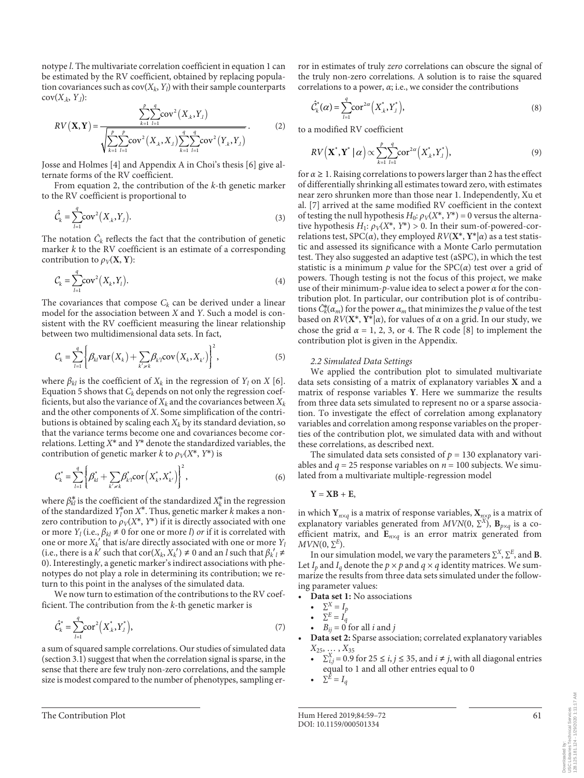notype *l*. The multivariate correlation coefficient in equation 1 can be estimated by the RV coefficient, obtained by replacing population covariances such as  $cov(X_k, Y_l)$  with their sample counterparts  $cov(X_k, Y_l)$ :

$$
RV(X, Y) = \frac{\sum_{k=1}^{p} \sum_{l=1}^{q} cov^{2}(X_{.k}, Y_{.l})}{\sqrt{\sum_{k=1}^{p} \sum_{l=1}^{q} cov^{2}(X_{.k}, X_{.l}) \sum_{k=1}^{q} \sum_{l=1}^{q} cov^{2}(Y_{.k}, Y_{.l})}}.
$$
(2)

Josse and Holmes [\[4\]](#page-12-3) and Appendix A in Choi's thesis [[6](#page-12-5)] give alternate forms of the RV coefficient.

From equation 2, the contribution of the *k*-th genetic marker to the RV coefficient is proportional to

$$
\hat{\mathcal{C}}_k = \sum_{l=1}^q \text{cov}^2(X_k, Y_l). \tag{3}
$$

The notation  $\hat{C}_k$  reflects the fact that the contribution of genetic marker *k* to the RV coefficient is an estimate of a corresponding contribution to  $\rho_V(\mathbf{X}, \mathbf{Y})$ :

$$
\mathcal{C}_k = \sum_{l=1}^q \text{cov}^2(X_k, Y_l). \tag{4}
$$

The covariances that compose  $C_k$  can be derived under a linear model for the association between *X* and *Y*. Such a model is consistent with the RV coefficient measuring the linear relationship between two multidimensional data sets. In fact,

$$
C_k = \sum_{l=1}^q \left\{ \beta_{kl} \text{var}\left(X_k\right) + \sum_{k' \ge k} \beta_{k'l} \text{cov}\left(X_k, X_{k'}\right) \right\}^2, \tag{5}
$$

where  $\beta_{kl}$  is the coefficient of  $X_k$  in the regression of  $Y_l$  on  $X$  [\[6\]](#page-12-5). Equation 5 shows that  $C_k$  depends on not only the regression coefficients, but also the variance of  $X_k$  and the covariances between  $X_k$ and the other components of *X*. Some simplification of the contributions is obtained by scaling each  $X_k$  by its standard deviation, so that the variance terms become one and covariances become correlations. Letting *X*\* and *Y*\* denote the standardized variables, the contribution of genetic marker *k* to  $\rho_V(X^*, Y^*)$  is

$$
C_k^* = \sum_{l=1}^q \left\{ \beta_{kl}^* + \sum_{k' \neq k} \beta_{k'l}^* \text{cor}\left(X_k^*, X_{k'}^*\right) \right\}^2, \tag{6}
$$

where  $\beta_{kl}^*$  is the coefficient of the standardized  $X_k^*$  in the regression of the standardized  $Y_l^*$  on  $X^*$ . Thus, genetic marker  $k$  makes a nonzero contribution to  $\rho_V(X^*, Y^*)$  if it is directly associated with one or more  $Y_l$  (i.e.,  $\beta_{kl} \neq 0$  for one or more *l*) *or* if it is correlated with one or more  $X_k'$  that is/are directly associated with one or more  $Y_l$ (i.e., there is a *k'* such that cor(*X<sub>k</sub>*, *X<sub>k</sub>'*) ≠ 0 and an *l* such that  $β_k'$ <sub>*l*</sub> ≠ 0). Interestingly, a genetic marker's indirect associations with phenotypes do not play a role in determining its contribution; we return to this point in the analyses of the simulated data.

We now turn to estimation of the contributions to the RV coefficient. The contribution from the *k*-th genetic marker is

$$
\hat{C}_{k}^{*} = \sum_{l=1}^{q} \text{cor}^{2} \left( X_{.k}^{*}, Y_{.l}^{*} \right), \tag{7}
$$

a sum of squared sample correlations. Our studies of simulated data (section 3.1) suggest that when the correlation signal is sparse, in the sense that there are few truly non-zero correlations, and the sample size is modest compared to the number of phenotypes, sampling error in estimates of truly *zero* correlations can obscure the signal of the truly non-zero correlations. A solution is to raise the squared correlations to a power, *α*; i.e., we consider the contributions

$$
\hat{C}_{k}^{*}(\alpha) = \sum_{l=1}^{q} \operatorname{cor}^{2\alpha} \left( X_{.k}^{*}, Y_{.l}^{*} \right), \tag{8}
$$

to a modified RV coefficient

$$
RV(\mathbf{X}^*, \mathbf{Y}^* | \alpha) \propto \sum_{k=1}^{P} \sum_{l=1}^{q} \text{cor}^{2\alpha} (X^*_{.k}, Y^*_{.l}),
$$
\n(9)

<span id="page-2-1"></span><span id="page-2-0"></span>for *α*≥ 1. Raising correlations to powers larger than 2 has the effect of differentially shrinking all estimates toward zero, with estimates near zero shrunken more than those near 1. Independently, Xu et al. [[7](#page-12-6)] arrived at the same modified RV coefficient in the context of testing the null hypothesis  $H_0$ :  $\rho_V(X^*, Y^*) = 0$  versus the alternative hypothesis  $H_1$ :  $\rho_V(X^*, Y^*) > 0$ . In their sum-of-powered-correlations test, SPC(*α*), they employed *RV*(**X**\*, **Y**\*|*α*) as a test statistic and assessed its significance with a Monte Carlo permutation test. They also suggested an adaptive test (aSPC), in which the test statistic is a minimum  $p$  value for the  $SPC(\alpha)$  test over a grid of powers. Though testing is not the focus of this project, we make use of their minimum-*p*-value idea to select a power *α* for the contribution plot. In particular, our contribution plot is of contributions  $\tilde{C}_{k}^{*}(\alpha_{m})$  for the power  $\alpha_{m}$  that minimizes the *p* value of the test based on  $RV(X^*, Y^*|\alpha)$ , for values of  $\alpha$  on a grid. In our study, we chose the grid  $\alpha = 1, 2, 3$ , or 4. The R code [[8](#page-12-7)] to implement the contribution plot is given in the Appendix.

#### <span id="page-2-2"></span>*2.2 Simulated Data Settings*

We applied the contribution plot to simulated multivariate data sets consisting of a matrix of explanatory variables **X** and a matrix of response variables **Y**. Here we summarize the results from three data sets simulated to represent no or a sparse association. To investigate the effect of correlation among explanatory variables and correlation among response variables on the properties of the contribution plot, we simulated data with and without these correlations, as described next.

The simulated data sets consisted of  $p = 130$  explanatory variables and  $q = 25$  response variables on  $n = 100$  subjects. We simulated from a multivariate multiple-regression model

$$
Y = XB + E,
$$

in which  $\mathbf{Y}_{n \times q}$  is a matrix of response variables,  $\mathbf{X}_{n \times p}$  is a matrix of explanatory variables generated from  $MVN(0, \Sigma^X)$ ,  $\mathbf{B}_{p \times q}$  is a coefficient matrix, and **E***n*×*q* is an error matrix generated from  $MVN(0, \Sigma^E)$ .

In our simulation model, we vary the parameters  $\sum^{X}$ ,  $\sum^{E}$ , and **B**. Let  $I_p$  and  $I_q$  denote the  $p \times p$  and  $q \times q$  identity matrices. We summarize the results from three data sets simulated under the following parameter values:

- **Data set 1:** No associations
	- $\Sigma^X = I_p$
	- $\Sigma^E = I_q$
	- $B_{ij} = 0$  for all *i* and *j*
- **Data set 2:** Sparse association; correlated explanatory variables *X*25, … , *X*<sup>35</sup>
	- $\Sigma_{i,j}^X = 0.9$  for  $25 \le i, j \le 35$ , and  $i \ne j$ , with all diagonal entries equal to 1 and all other entries equal to 0
	- $\Sigma^E = I_a$

128.125.181.124 - 1/29/2020 1:11:17 AM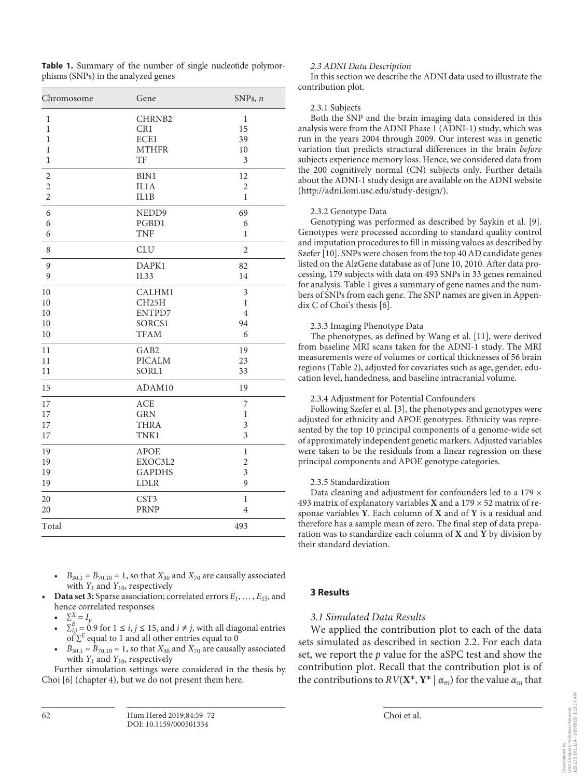**Table 1.** Summary of the number of single nucleotide polymorphisms (SNPs) in the analyzed genes

| Chromosome     | Gene             | SNPs, $n$      |
|----------------|------------------|----------------|
| 1              | CHRNB2           | $\mathbf{1}$   |
| $\mathbf{1}$   | CR1              | 15             |
| $\mathbf{1}$   | ECE1             | 39             |
| $\mathbf{1}$   | <b>MTHFR</b>     | 10             |
| 1              | TF               | 3              |
| $\overline{c}$ | BIN1             | 12             |
| $\overline{2}$ | IL1A             | $\overline{2}$ |
| $\overline{2}$ | IL1B             | 1              |
| 6              | NEDD9            | 69             |
| 6              | PGBD1            | 6              |
| 6              | <b>TNF</b>       | $\mathbf{1}$   |
| 8              | <b>CLU</b>       | $\overline{2}$ |
| 9              | DAPK1            | 82             |
| 9              | IL33             | 14             |
| 10             | CALHM1           | 3              |
| 10             | CH25H            | $\mathbf{1}$   |
| 10             | ENTPD7           | $\overline{4}$ |
| 10             | SORCS1           | 94             |
| 10             | <b>TFAM</b>      | 6              |
| 11             | GAB <sub>2</sub> | 19             |
| 11             | <b>PICALM</b>    | 23             |
| 11             | SORL1            | 33             |
| 15             | ADAM10           | 19             |
| 17             | <b>ACE</b>       | 7              |
| 17             | <b>GRN</b>       | 1              |
| 17             | <b>THRA</b>      | 3              |
| 17             | TNK1             | 3              |
| 19             | <b>APOE</b>      | $\,1$          |
| 19             | EXOC3L2          | $\overline{2}$ |
| 19             | <b>GAPDHS</b>    | $\mathfrak{Z}$ |
| 19             | LDLR             | 9              |
| 20             | CST3             | $\,1$          |
| 20             | <b>PRNP</b>      | 4              |
| Total          |                  | 493            |

- $B_{30,1} = B_{70,10} = 1$ , so that  $X_{30}$  and  $X_{70}$  are causally associated with  $Y_1$  and  $Y_{10}$ , respectively
- **Data set 3:** Sparse association; correlated errors  $E_1, \ldots, E_{15}$ , and hence correlated responses
	- $\Sigma^X = I_p$
	- $\Sigma_{i,j}^E = \dot{0}.9$  for  $1 \le i, j \le 15$ , and  $i \ne j$ , with all diagonal entries of ∑*E* equal to 1 and all other entries equal to 0
	- $B_{30,1} = B_{70,10} = 1$ , so that  $X_{30}$  and  $X_{70}$  are causally associated with  $Y_1$  and  $Y_{10}$ , respectively

Further simulation settings were considered in the thesis by Choi [[6](#page-12-5)] (chapter 4), but we do not present them here.

#### *2.3 ADNI Data Description*

In this section we describe the ADNI data used to illustrate the contribution plot.

#### 2.3.1 Subjects

Both the SNP and the brain imaging data considered in this analysis were from the ADNI Phase 1 (ADNI-1) study, which was run in the years 2004 through 2009. Our interest was in genetic variation that predicts structural differences in the brain *before* subjects experience memory loss. Hence, we considered data from the 200 cognitively normal (CN) subjects only. Further details about the ADNI-1 study design are available on the ADNI website (http://adni.loni.usc.edu/study-design/).

#### <span id="page-3-0"></span>2.3.2 Genotype Data

<span id="page-3-1"></span>Genotyping was performed as described by Saykin et al. [[9](#page-12-8)]. Genotypes were processed according to standard quality control and imputation procedures to fill in missing values as described by Szefer [[1](#page-12-0)0]. SNPs were chosen from the top 40 AD candidate genes listed on the AlzGene database as of June 10, 2010. After data processing, 179 subjects with data on 493 SNPs in 33 genes remained for analysis. Table 1 gives a summary of gene names and the numbers of SNPs from each gene. The SNP names are given in Appendix C of Choi's thesis [\[6\]](#page-12-5).

## <span id="page-3-2"></span>2.3.3 Imaging Phenotype Data

The phenotypes, as defined by Wang et al. [\[11](#page-12-0)], were derived from baseline MRI scans taken for the ADNI-1 study. The MRI measurements were of volumes or cortical thicknesses of 56 brain regions (Table 2), adjusted for covariates such as age, gender, education level, handedness, and baseline intracranial volume.

## 2.3.4 Adjustment for Potential Confounders

Following Szefer et al. [\[3\]](#page-12-2), the phenotypes and genotypes were adjusted for ethnicity and APOE genotypes. Ethnicity was represented by the top 10 principal components of a genome-wide set of approximately independent genetic markers. Adjusted variables were taken to be the residuals from a linear regression on these principal components and APOE genotype categories.

## 2.3.5 Standardization

Data cleaning and adjustment for confounders led to a 179  $\times$ 493 matrix of explanatory variables **X** and a 179 × 52 matrix of response variables **Y**. Each column of **X** and of **Y** is a residual and therefore has a sample mean of zero. The final step of data preparation was to standardize each column of **X** and **Y** by division by their standard deviation.

## **3 Results**

## *3.1 Simulated Data Results*

We applied the contribution plot to each of the data sets simulated as described in section 2.2. For each data set, we report the *p* value for the aSPC test and show the contribution plot. Recall that the contribution plot is of the contributions to  $RV(X^*, Y^* | \alpha_m)$  for the value  $\alpha_m$  that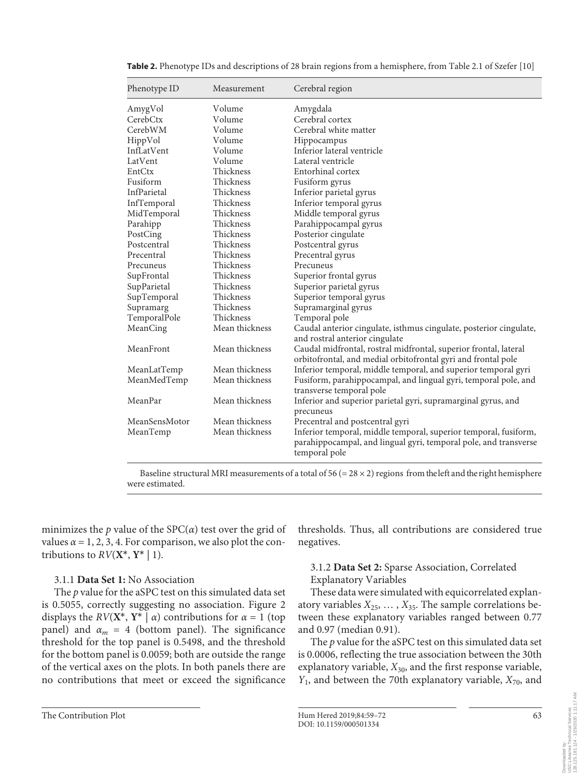| Phenotype ID  | Measurement    | Cerebral region                                                                                                                                       |
|---------------|----------------|-------------------------------------------------------------------------------------------------------------------------------------------------------|
| AmygVol       | Volume         | Amygdala                                                                                                                                              |
| CerebCtx      | Volume         | Cerebral cortex                                                                                                                                       |
| CerebWM       | Volume         | Cerebral white matter                                                                                                                                 |
| HippVol       | Volume         | Hippocampus                                                                                                                                           |
| InfLatVent    | Volume         | Inferior lateral ventricle                                                                                                                            |
| LatVent       | Volume         | Lateral ventricle                                                                                                                                     |
| EntCtx        | Thickness      | Entorhinal cortex                                                                                                                                     |
| Fusiform      | Thickness      | Fusiform gyrus                                                                                                                                        |
| InfParietal   | Thickness      | Inferior parietal gyrus                                                                                                                               |
| InfTemporal   | Thickness      | Inferior temporal gyrus                                                                                                                               |
| MidTemporal   | Thickness      | Middle temporal gyrus                                                                                                                                 |
| Parahipp      | Thickness      | Parahippocampal gyrus                                                                                                                                 |
| PostCing      | Thickness      | Posterior cingulate                                                                                                                                   |
| Postcentral   | Thickness      | Postcentral gyrus                                                                                                                                     |
| Precentral    | Thickness      | Precentral gyrus                                                                                                                                      |
| Precuneus     | Thickness      | Precuneus                                                                                                                                             |
| SupFrontal    | Thickness      | Superior frontal gyrus                                                                                                                                |
| SupParietal   | Thickness      | Superior parietal gyrus                                                                                                                               |
| SupTemporal   | Thickness      | Superior temporal gyrus                                                                                                                               |
| Supramarg     | Thickness      | Supramarginal gyrus                                                                                                                                   |
| TemporalPole  | Thickness      | Temporal pole                                                                                                                                         |
| MeanCing      | Mean thickness | Caudal anterior cingulate, isthmus cingulate, posterior cingulate,<br>and rostral anterior cingulate                                                  |
| MeanFront     | Mean thickness | Caudal midfrontal, rostral midfrontal, superior frontal, lateral<br>orbitofrontal, and medial orbitofrontal gyri and frontal pole                     |
| MeanLatTemp   | Mean thickness | Inferior temporal, middle temporal, and superior temporal gyri                                                                                        |
| MeanMedTemp   | Mean thickness | Fusiform, parahippocampal, and lingual gyri, temporal pole, and<br>transverse temporal pole                                                           |
| MeanPar       | Mean thickness | Inferior and superior parietal gyri, supramarginal gyrus, and<br>precuneus                                                                            |
| MeanSensMotor | Mean thickness | Precentral and postcentral gyri                                                                                                                       |
| MeanTemp      | Mean thickness | Inferior temporal, middle temporal, superior temporal, fusiform,<br>parahippocampal, and lingual gyri, temporal pole, and transverse<br>temporal pole |

**Table 2.** Phenotype IDs and descriptions of 28 brain regions from a hemisphere, from Table 2.1 of Szefer [10]

Baseline structural MRI measurements of a total of 56 (=  $28 \times 2$ ) regions from the left and the right hemisphere were estimated.

minimizes the *p* value of the  $SPC(\alpha)$  test over the grid of values  $\alpha = 1, 2, 3, 4$ . For comparison, we also plot the contributions to  $RV(X^*, Y^* | 1)$ .

## 3.1.1 **Data Set 1:** No Association

The *p* value for the aSPC test on this simulated data set is 0.5055, correctly suggesting no association. Figure 2 displays the *RV*( $X^*$ ,  $Y^*$  | *α*) contributions for  $\alpha = 1$  (top panel) and  $\alpha_m = 4$  (bottom panel). The significance threshold for the top panel is 0.5498, and the threshold for the bottom panel is 0.0059; both are outside the range of the vertical axes on the plots. In both panels there are no contributions that meet or exceed the significance

thresholds. Thus, all contributions are considered true negatives.

## 3.1.2 **Data Set 2:** Sparse Association, Correlated Explanatory Variables

These data were simulated with equicorrelated explanatory variables  $X_{25}$ , ...,  $X_{35}$ . The sample correlations between these explanatory variables ranged between 0.77 and 0.97 (median 0.91).

The *p* value for the aSPC test on this simulated data set is 0.0006, reflecting the true association between the 30th explanatory variable,  $X_{30}$ , and the first response variable, *Y*<sub>1</sub>, and between the 70th explanatory variable, *X*<sub>70</sub>, and

128.125.181.124 - 1/29/2020 1:11:17 AM

DOW<br>1982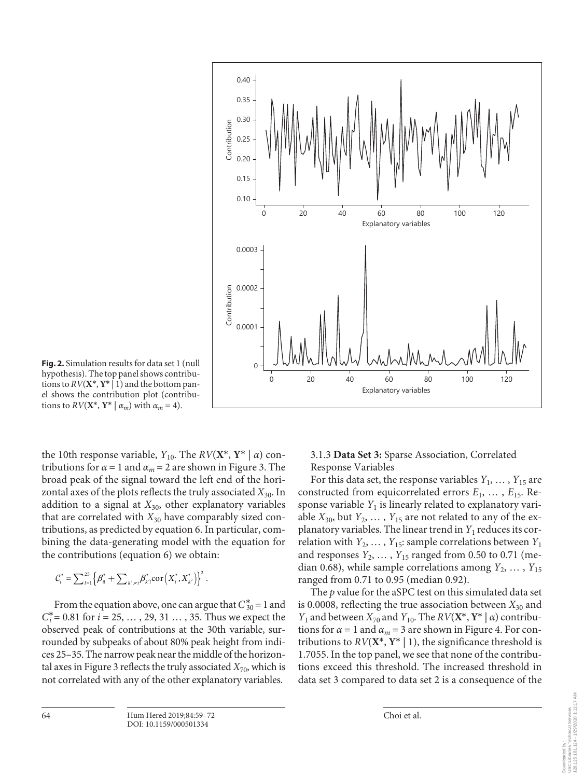

**Fig. 2.** Simulation results for data set 1 (null hypothesis). The top panel shows contributions to  $RV(X^*, Y^* | 1)$  and the bottom panel shows the contribution plot (contributions to  $RV(X^*, Y^* | \alpha_m)$  with  $\alpha_m = 4$ ).

the 10th response variable,  $Y_{10}$ . The  $RV(X^*, Y^* | \alpha)$  contributions for  $\alpha = 1$  and  $\alpha_m = 2$  are shown in Figure 3. The broad peak of the signal toward the left end of the horizontal axes of the plots reflects the truly associated *X*30. In addition to a signal at  $X_{30}$ , other explanatory variables that are correlated with  $X_{30}$  have comparably sized contributions, as predicted by equation 6. In particular, combining the data-generating model with the equation for the contributions (equation 6) we obtain:

$$
C_i^* = \sum_{l=1}^{25} \left\{ \beta_{il}^* + \sum_{k' \neq i} \beta_{k'l}^* \text{cor} \left( X_i^*, X_{k'}^* \right) \right\}^2.
$$

From the equation above, one can argue that  $C_{30}^* = 1$  and  $C_i^* = 0.81$  for  $i = 25, ..., 29, 31, ..., 35$ . Thus we expect the observed peak of contributions at the 30th variable, surrounded by subpeaks of about 80% peak height from indices 25–35. The narrow peak near the middle of the horizontal axes in Figure 3 reflects the truly associated  $X_{70}$ , which is not correlated with any of the other explanatory variables.

## 3.1.3 **Data Set 3:** Sparse Association, Correlated Response Variables

For this data set, the response variables  $Y_1, \ldots, Y_{15}$  are constructed from equicorrelated errors *E*1, … , *E*15. Response variable  $Y_1$  is linearly related to explanatory variable  $X_{30}$ , but  $Y_2$ , ...,  $Y_{15}$  are not related to any of the explanatory variables. The linear trend in  $Y_1$  reduces its correlation with  $Y_2, \ldots, Y_{15}$ : sample correlations between  $Y_1$ and responses  $Y_2, \ldots, Y_{15}$  ranged from 0.50 to 0.71 (median 0.68), while sample correlations among  $Y_2, \ldots, Y_{15}$ ranged from 0.71 to 0.95 (median 0.92).

The *p* value for the aSPC test on this simulated data set is 0.0008, reflecting the true association between  $X_{30}$  and *Y*<sub>1</sub> and between *X*<sub>70</sub> and *Y*<sub>10</sub>. The *RV*( $\mathbf{X}^*$ ,  $\mathbf{Y}^*$  | *α*) contributions for  $\alpha = 1$  and  $\alpha_m = 3$  are shown in Figure 4. For contributions to  $RV(X^*, Y^* | 1)$ , the significance threshold is 1.7055. In the top panel, we see that none of the contributions exceed this threshold. The increased threshold in data set 3 compared to data set 2 is a consequence of the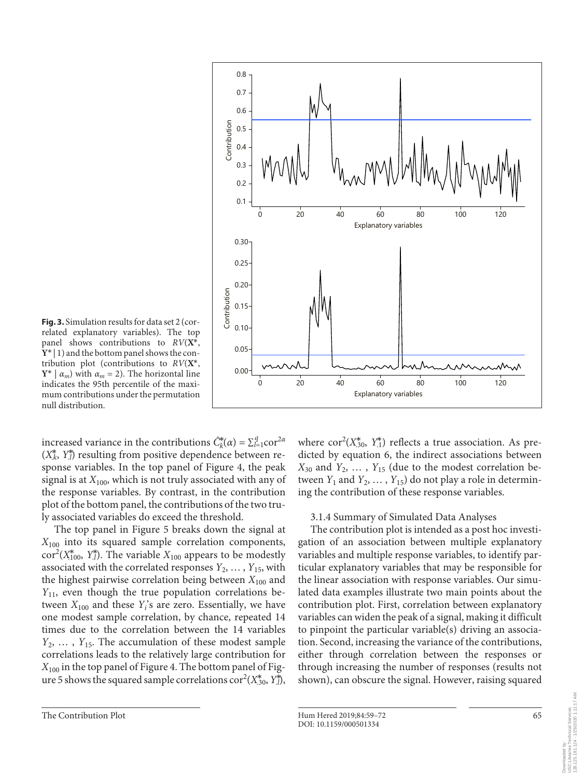

**Fig. 3.** Simulation results for data set 2 (correlated explanatory variables). The top panel shows contributions to *RV*(**X**\*, **Y**\* | 1) and the bottom panel shows the contribution plot (contributions to *RV*(**X**\*, **Y**<sup>\*</sup>  $\alpha_m$  with  $\alpha_m = 2$ ). The horizontal line indicates the 95th percentile of the maximum contributions under the permutation null distribution.

increased variance in the contributions  $\hat{C}_k^*(\alpha) = \sum_{l=1}^q \text{cor}^{2\alpha}$  $(X_k^*, Y_l^*)$  resulting from positive dependence between response variables. In the top panel of Figure 4, the peak signal is at  $X_{100}$ , which is not truly associated with any of the response variables. By contrast, in the contribution plot of the bottom panel, the contributions of the two truly associated variables do exceed the threshold.

The top panel in Figure 5 breaks down the signal at  $X_{100}$  into its squared sample correlation components, cor<sup>2</sup>( $X_{100}^*$ ,  $Y_{.l}^*$ ). The variable  $X_{100}$  appears to be modestly associated with the correlated responses  $Y_2, \ldots, Y_{15}$ , with the highest pairwise correlation being between  $X_{100}$  and *Y*<sub>11</sub>, even though the true population correlations between  $X_{100}$  and these  $Y_i$ 's are zero. Essentially, we have one modest sample correlation, by chance, repeated 14 times due to the correlation between the 14 variables *Y*<sub>2</sub>, ..., *Y*<sub>15</sub>. The accumulation of these modest sample correlations leads to the relatively large contribution for  $X_{100}$  in the top panel of Figure 4. The bottom panel of Figure 5 shows the squared sample correlations  $\text{cor}^2(X_{.30}^*, Y_{.l}^*),$ 

where  $cor^2(X_{.30}^*, Y_{.1}^*)$  reflects a true association. As predicted by equation 6, the indirect associations between  $X_{30}$  and  $Y_2$ , ...,  $Y_{15}$  (due to the modest correlation between  $Y_1$  and  $Y_2, \ldots, Y_{15}$  do not play a role in determining the contribution of these response variables.

#### 3.1.4 Summary of Simulated Data Analyses

The contribution plot is intended as a post hoc investigation of an association between multiple explanatory variables and multiple response variables, to identify particular explanatory variables that may be responsible for the linear association with response variables. Our simulated data examples illustrate two main points about the contribution plot. First, correlation between explanatory variables can widen the peak of a signal, making it difficult to pinpoint the particular variable(s) driving an association. Second, increasing the variance of the contributions, either through correlation between the responses or through increasing the number of responses (results not shown), can obscure the signal. However, raising squared

Downloaded by: USC Libraries Technical Services 128.125.181.124 - 1/29/2020 1:11:17 AM

Libraries Technical Services<br>125.181.124 - 1/29/2020 1:11:17 AM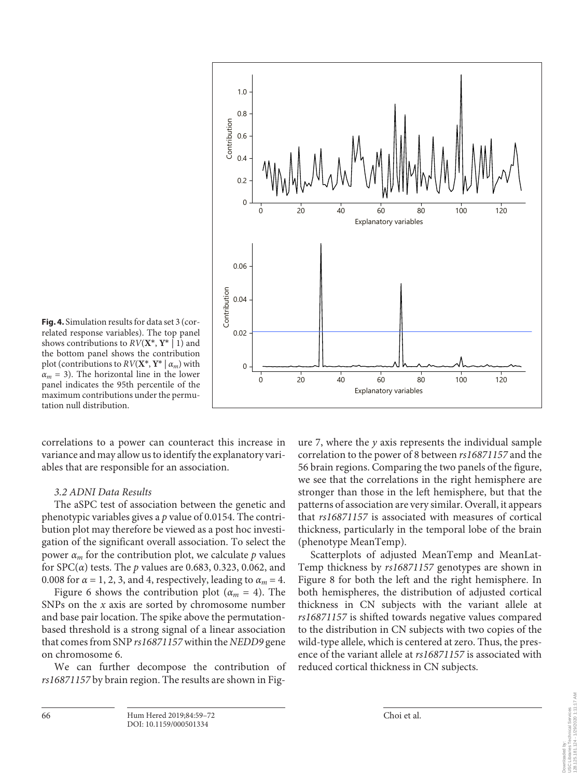

**Fig. 4.** Simulation results for data set 3 (correlated response variables). The top panel shows contributions to *RV*(**X**\*, **Y**\* | 1) and the bottom panel shows the contribution plot (contributions to  $RV(X^*, Y^* | \alpha_m)$  with  $\alpha_m$  = 3). The horizontal line in the lower panel indicates the 95th percentile of the maximum contributions under the permutation null distribution.

correlations to a power can counteract this increase in variance and may allow us to identify the explanatory variables that are responsible for an association.

#### *3.2 ADNI Data Results*

The aSPC test of association between the genetic and phenotypic variables gives a *p* value of 0.0154. The contribution plot may therefore be viewed as a post hoc investigation of the significant overall association. To select the power  $\alpha_m$  for the contribution plot, we calculate *p* values for SPC(*α*) tests. The *p* values are 0.683, 0.323, 0.062, and 0.008 for  $\alpha = 1, 2, 3$ , and 4, respectively, leading to  $\alpha_m = 4$ .

Figure 6 shows the contribution plot  $(\alpha_m = 4)$ . The SNPs on the *x* axis are sorted by chromosome number and base pair location. The spike above the permutationbased threshold is a strong signal of a linear association that comes from SNP *rs16871157* within the *NEDD9* gene on chromosome 6.

We can further decompose the contribution of *rs16871157* by brain region. The results are shown in Figure 7, where the *y* axis represents the individual sample correlation to the power of 8 between *rs16871157* and the 56 brain regions. Comparing the two panels of the figure, we see that the correlations in the right hemisphere are stronger than those in the left hemisphere, but that the patterns of association are very similar. Overall, it appears that *rs16871157* is associated with measures of cortical thickness, particularly in the temporal lobe of the brain (phenotype MeanTemp).

Scatterplots of adjusted MeanTemp and MeanLat-Temp thickness by *rs16871157* genotypes are shown in Figure 8 for both the left and the right hemisphere. In both hemispheres, the distribution of adjusted cortical thickness in CN subjects with the variant allele at *rs16871157* is shifted towards negative values compared to the distribution in CN subjects with two copies of the wild-type allele, which is centered at zero. Thus, the presence of the variant allele at *rs16871157* is associated with reduced cortical thickness in CN subjects.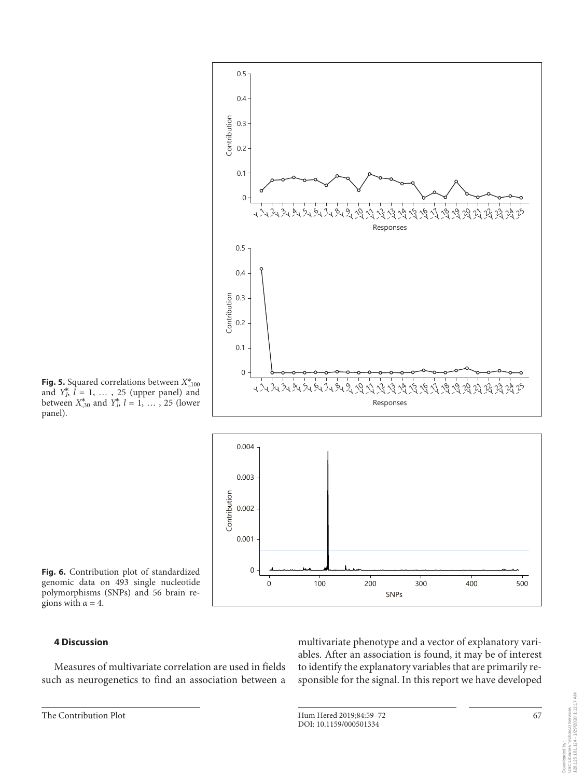





**Fig. 6.** Contribution plot of standardized genomic data on 493 single nucleotide polymorphisms (SNPs) and 56 brain regions with  $\alpha = 4$ .

## **4 Discussion**

Measures of multivariate correlation are used in fields such as neurogenetics to find an association between a multivariate phenotype and a vector of explanatory variables. After an association is found, it may be of interest to identify the explanatory variables that are primarily responsible for the signal. In this report we have developed

Downloaded by: USC Libraries Technical Services 128.125.181.124 - 1/29/2020 1:11:17 AM

Downloaded by:<br>USC Libraries Technical Services<br>128.125.181.124 - 1/29/2020 1:11:17 AM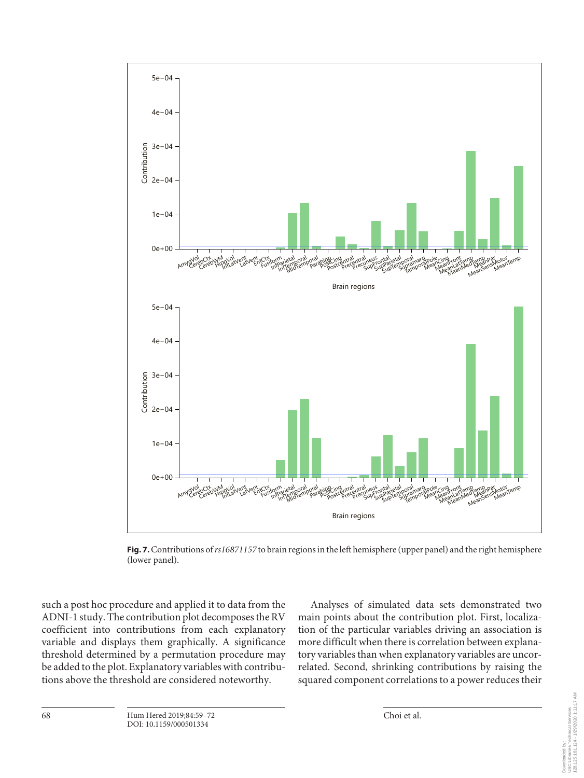

**Fig. 7.** Contributions of *rs16871157* to brain regions in the left hemisphere (upper panel) and the right hemisphere (lower panel).

such a post hoc procedure and applied it to data from the ADNI-1 study. The contribution plot decomposes the RV coefficient into contributions from each explanatory variable and displays them graphically. A significance threshold determined by a permutation procedure may be added to the plot. Explanatory variables with contributions above the threshold are considered noteworthy.

Analyses of simulated data sets demonstrated two main points about the contribution plot. First, localization of the particular variables driving an association is more difficult when there is correlation between explanatory variables than when explanatory variables are uncorrelated. Second, shrinking contributions by raising the squared component correlations to a power reduces their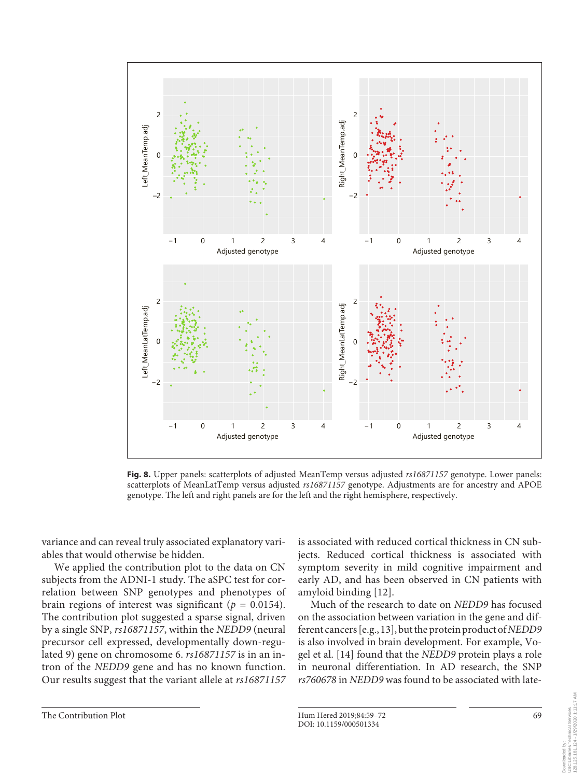

**Fig. 8.** Upper panels: scatterplots of adjusted MeanTemp versus adjusted *rs16871157* genotype. Lower panels: scatterplots of MeanLatTemp versus adjusted *rs16871157* genotype. Adjustments are for ancestry and APOE genotype. The left and right panels are for the left and the right hemisphere, respectively.

variance and can reveal truly associated explanatory variables that would otherwise be hidden.

We applied the contribution plot to the data on CN subjects from the ADNI-1 study. The aSPC test for correlation between SNP genotypes and phenotypes of brain regions of interest was significant ( $p = 0.0154$ ). The contribution plot suggested a sparse signal, driven by a single SNP, *rs16871157*, within the *NEDD9* (neural precursor cell expressed, developmentally down-regulated 9) gene on chromosome 6. *rs16871157* is in an intron of the *NEDD9* gene and has no known function. Our results suggest that the variant allele at *rs16871157* is associated with reduced cortical thickness in CN subjects. Reduced cortical thickness is associated with symptom severity in mild cognitive impairment and early AD, and has been observed in CN patients with amyloid binding [[1](#page-12-0)[2\]](#page-12-1).

<span id="page-10-0"></span>Much of the research to date on *NEDD9* has focused on the association between variation in the gene and different cancers [e.g., [1](#page-12-0)[3\]](#page-12-2), but the protein product of *NEDD9* is also involved in brain development. For example, Vogel et al. [[1](#page-12-0)[4](#page-12-3)] found that the *NEDD9* protein plays a role in neuronal differentiation. In AD research, the SNP *rs760678* in *NEDD9* was found to be associated with late-

Downloaded by: USC Libraries Technical Services 128.125.181.124 - 1/29/2020 1:11:17 AM

Libraries Technical Services<br>125.181.124 - 1/29/2020 1:11:17 AM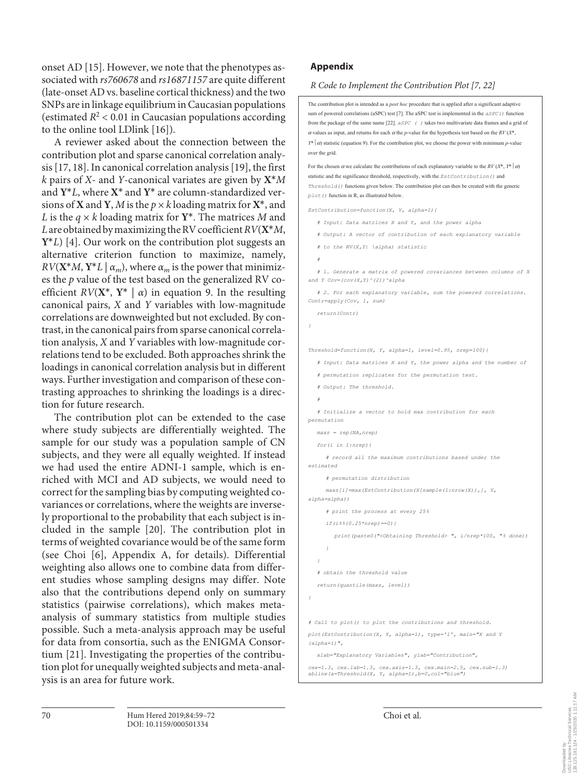onset AD [[1](#page-12-0)[5\]](#page-12-4). However, we note that the phenotypes associated with *rs760678* and *rs16871157* are quite different (late-onset AD vs. baseline cortical thickness) and the two SNPs are in linkage equilibrium in Caucasian populations (estimated  $R^2$  < 0.01 in Caucasian populations according to the online tool LDlink [\[1](#page-12-0)[6\]](#page-12-5)).

A reviewer asked about the connection between the contribution plot and sparse canonical correlation analysis [\[1](#page-12-0)[7,](#page-12-6) [1](#page-12-0)[8\]](#page-12-7). In canonical correlation analysis [\[1](#page-12-0)[9\]](#page-12-8), the first *k* pairs of *X*- and *Y*-canonical variates are given by **X**\**M* and **Y**\**L*, where **X**\* and **Y**\* are column-standardized versions of **X** and **Y**, *M* is the  $p \times k$  loading matrix for **X**<sup>\*</sup>, and *L* is the  $q \times k$  loading matrix for  $Y^*$ . The matrices *M* and *L* are obtained by maximizing the RV coefficient *RV*(**X**\**M*, **Y**\**L*) [[4\]](#page-12-3). Our work on the contribution plot suggests an alternative criterion function to maximize, namely,  $RV(X^*M, Y^*L | \alpha_m)$ , where  $\alpha_m$  is the power that minimizes the *p* value of the test based on the generalized RV coefficient  $RV(X^*, Y^* | \alpha)$  in equation 9. In the resulting canonical pairs, *X* and *Y* variables with low-magnitude correlations are downweighted but not excluded. By contrast, in the canonical pairs from sparse canonical correlation analysis, *X* and *Y* variables with low-magnitude correlations tend to be excluded. Both approaches shrink the loadings in canonical correlation analysis but in different ways. Further investigation and comparison of these contrasting approaches to shrinking the loadings is a direction for future research.

The contribution plot can be extended to the case where study subjects are differentially weighted. The sample for our study was a population sample of CN subjects, and they were all equally weighted. If instead we had used the entire ADNI-1 sample, which is enriched with MCI and AD subjects, we would need to correct for the sampling bias by computing weighted covariances or correlations, where the weights are inversely proportional to the probability that each subject is included in the sample [[2](#page-12-1)0]. The contribution plot in terms of weighted covariance would be of the same form (see Choi [[6](#page-12-5)], Appendix A, for details). Differential weighting also allows one to combine data from different studies whose sampling designs may differ. Note also that the contributions depend only on summary statistics (pairwise correlations), which makes metaanalysis of summary statistics from multiple studies possible. Such a meta-analysis approach may be useful for data from consortia, such as the ENIGMA Consortium [[2](#page-12-1)[1\]](#page-12-0). Investigating the properties of the contribution plot for unequally weighted subjects and meta-analysis is an area for future work.

## **Appendix**

## *R Code to Implement the Contribution Plot [[7](#page-12-6), [22\]](#page-12-1)*

The contribution plot is intended as a *post hoc* procedure that is applied after a significant adaptive sum of powered correlations (aSPC) test [7]. The aSPC test is implemented in the *aSPC*() function from the package of the same name [22]. *aSPC ( )* takes two multivariate data frames and a grid of <sup>α</sup> values as input, and returns for each <sup>α</sup> the *p*-value for the hypothesis test based on the *RV* (*X*\*, *Y*\*  $\alpha$ ) statistic (equation 9). For the contribution plot, we choose the power with minimum *p*-value over the grid.

For the chosen  $\alpha$  we calculate the contributions of each explanatory variable to the  $RV(X^*, Y^* | \alpha)$ statistic and the significance threshold, respectively, with the *EstContribution()* and *Threshold()* functions given below. The contribution plot can then be created with the generic *plot()* function in R, as illustrated below.

*EstContribution=function(X, Y, alpha=1){*

- *# Input: Data matrices X and Y, and the power alpha*
- *# Output: A vector of contribution of each explanatory variable*
- *# to the RV(X,Y| \alpha) statistic*
- *#*

*# 1. Generate a matrix of powered covariances between columns of X and Y Cov=(cov(X,Y)^(2))^alpha*

*# 2. For each explanatory variable, sum the powered correlations. Contr=apply(Cov, 1, sum)*

*return(Contr)*

```
}
```
*Threshold=function(X, Y, alpha=1, level=0.95, nrep=100){*

*# Input: Data matrices X and Y, the power alpha and the number of*

*# permutation replicates for the permutation test.*

*# Output: The threshold.*

*#*

*# Initialize a vector to hold max contribution for each permutation*

*maxs = rep(NA,nrep)*

*for(i in 1:nrep){*

*# record all the maximum contributions based under the estimated*

*# permutation distribution*

*maxs[i]=max(EstContribution(X[sample(1:nrow(X)),], Y, alpha=alpha))*

*# print the process at every 25%*

*if(i%%(0.25\*nrep)==0){*

*print(paste0("<Obtaining Threshold> ", i/nrep\*100, "% done))*

```
}
}
```
*# obtain the threshold value*

*return(quantile(maxs, level))*

*}*

*# Call to plot() to plot the contributions and threshold.*

*plot(EstContribution(X, Y, alpha=1), type='l', main="X and Y (alpha=1)",*

*xlab="Explanatory Variables", ylab="Contribution",*

```
cex=1.3, cex.lab=1.3, cex.axis=1.3, cex.main=2.5, cex.sub=1.3)
         abline(a=Threshold(X, Y, alpha=1),b=0,col="blue")
```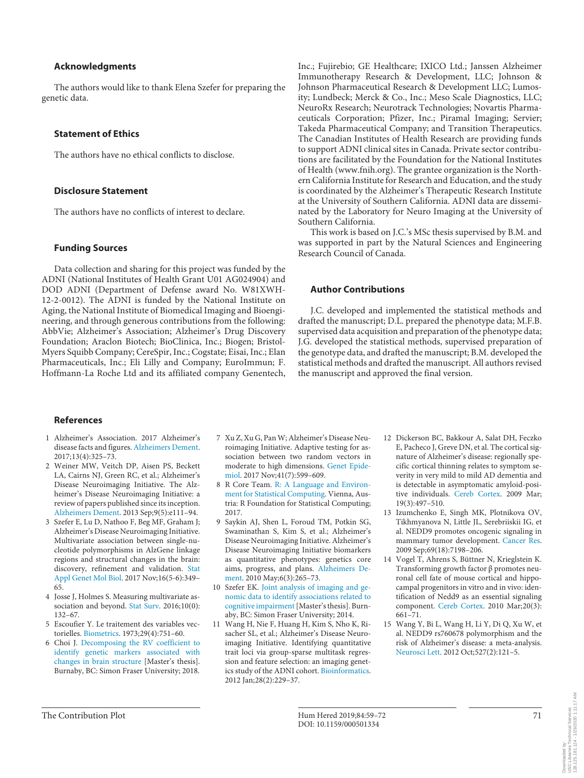#### **Acknowledgments**

The authors would like to thank Elena Szefer for preparing the genetic data.

#### **Statement of Ethics**

The authors have no ethical conflicts to disclose.

#### **Disclosure Statement**

The authors have no conflicts of interest to declare.

#### **Funding Sources**

Data collection and sharing for this project was funded by the ADNI (National Institutes of Health Grant U01 AG024904) and DOD ADNI (Department of Defense award No. W81XWH-12-2-0012). The ADNI is funded by the National Institute on Aging, the National Institute of Biomedical Imaging and Bioengineering, and through generous contributions from the following: AbbVie; Alzheimer's Association; Alzheimer's Drug Discovery Foundation; Araclon Biotech; BioClinica, Inc.; Biogen; Bristol-Myers Squibb Company; CereSpir, Inc.; Cogstate; Eisai, Inc.; Elan Pharmaceuticals, Inc.; Eli Lilly and Company; EuroImmun; F. Hoffmann-La Roche Ltd and its affiliated company Genentech,

Inc.; Fujirebio; GE Healthcare; IXICO Ltd.; Janssen Alzheimer Immunotherapy Research & Development, LLC; Johnson & Johnson Pharmaceutical Research & Development LLC; Lumosity; Lundbeck; Merck & Co., Inc.; Meso Scale Diagnostics, LLC; NeuroRx Research; Neurotrack Technologies; Novartis Pharmaceuticals Corporation; Pfizer, Inc.; Piramal Imaging; Servier; Takeda Pharmaceutical Company; and Transition Therapeutics. The Canadian Institutes of Health Research are providing funds to support ADNI clinical sites in Canada. Private sector contributions are facilitated by the Foundation for the National Institutes of Health (www.fnih.org). The grantee organization is the Northern California Institute for Research and Education, and the study is coordinated by the Alzheimer's Therapeutic Research Institute at the University of Southern California. ADNI data are disseminated by the Laboratory for Neuro Imaging at the University of Southern California.

This work is based on J.C.'s MSc thesis supervised by B.M. and was supported in part by the Natural Sciences and Engineering Research Council of Canada.

#### **Author Contributions**

J.C. developed and implemented the statistical methods and drafted the manuscript; D.L. prepared the phenotype data; M.F.B. supervised data acquisition and preparation of the phenotype data; J.G. developed the statistical methods, supervised preparation of the genotype data, and drafted the manuscript; B.M. developed the statistical methods and drafted the manuscript. All authors revised the manuscript and approved the final version.

#### **References**

- <span id="page-12-0"></span>[1](#page-0-0) Alzheimer's Association. 2017 Alzheimer's disease facts and figures. [Alzheimers Dement](https://www.karger.com/Article/FullText/501334?ref=1#ref1). 2017;13(4):325–73.
- <span id="page-12-1"></span>[2](#page-1-0) Weiner MW, Veitch DP, Aisen PS, Beckett LA, Cairns NJ, Green RC, et al.; Alzheimer's Disease Neuroimaging Initiative. The Alzheimer's Disease Neuroimaging Initiative: a review of papers published since its inception. [Alzheimers Dement.](https://www.karger.com/Article/FullText/501334?ref=2#ref2) 2013 Sep;9(5):e111–94.
- <span id="page-12-2"></span>[3](#page-1-1) Szefer E, Lu D, Nathoo F, Beg MF, Graham J; Alzheimer's Disease Neuroimaging Initiative. Multivariate association between single-nucleotide polymorphisms in AlzGene linkage regions and structural changes in the brain: discovery, refinement and validation. [Stat](https://www.karger.com/Article/FullText/501334?ref=3#ref3) [Appl Genet Mol Biol.](https://www.karger.com/Article/FullText/501334?ref=3#ref3) 2017 Nov;16(5-6):349– 65.
- <span id="page-12-3"></span>[4](#page-1-2) Josse J, Holmes S. Measuring multivariate association and beyond. [Stat Surv](https://www.karger.com/Article/FullText/501334?ref=4#ref4). 2016;10(0): 132–67.
- <span id="page-12-4"></span>[5](#page-1-3) Escoufier Y. Le traitement des variables vectorielles. [Biometrics](https://www.karger.com/Article/FullText/501334?ref=5#ref5). 1973;29(4):751–60.
- <span id="page-12-5"></span>[6](#page-2-0) Choi J. [Decomposing the RV coefficient to](https://www.karger.com/Article/FullText/501334?ref=6#ref6) [identify genetic markers associated with](https://www.karger.com/Article/FullText/501334?ref=6#ref6) [changes in brain structure](https://www.karger.com/Article/FullText/501334?ref=6#ref6) [Master's thesis]. Burnaby, BC: Simon Fraser University; 2018.
- <span id="page-12-6"></span>[7](#page-2-1) Xu Z, Xu G, Pan W; Alzheimer's Disease Neuroimaging Initiative. Adaptive testing for association between two random vectors in moderate to high dimensions. [Genet Epide](https://www.karger.com/Article/FullText/501334?ref=7#ref7)[miol.](https://www.karger.com/Article/FullText/501334?ref=7#ref7) 2017 Nov;41(7):599–609.
- <span id="page-12-7"></span>[8](#page-2-2) R Core Team. [R: A Language and Environ](https://www.karger.com/Article/FullText/501334?ref=8#ref8)[ment for Statistical Computing](https://www.karger.com/Article/FullText/501334?ref=8#ref8). Vienna, Austria: R Foundation for Statistical Computing; 2017.
- <span id="page-12-8"></span>[9](#page-3-0) Saykin AJ, Shen L, Foroud TM, Potkin SG, Swaminathan S, Kim S, et al.; Alzheimer's Disease Neuroimaging Initiative. Alzheimer's Disease Neuroimaging Initiative biomarkers as quantitative phenotypes: genetics core aims, progress, and plans. [Alzheimers De](https://www.karger.com/Article/FullText/501334?ref=9#ref9)[ment.](https://www.karger.com/Article/FullText/501334?ref=9#ref9) 2010 May;6(3):265–73.
- [10](#page-3-1) Szefer EK. [Joint analysis of imaging and ge](https://www.karger.com/Article/FullText/501334?ref=10#ref10)[nomic data to identify associations related to](https://www.karger.com/Article/FullText/501334?ref=10#ref10) [cognitive impairment](https://www.karger.com/Article/FullText/501334?ref=10#ref10) [Master's thesis]. Burnaby, BC: Simon Fraser University; 2014.
- [11](#page-3-2) Wang H, Nie F, Huang H, Kim S, Nho K, Risacher SL, et al.; Alzheimer's Disease Neuroimaging Initiative. Identifying quantitative trait loci via group-sparse multitask regression and feature selection: an imaging genetics study of the ADNI cohort. [Bioinformatics.](https://www.karger.com/Article/FullText/501334?ref=11#ref11) 2012 Jan;28(2):229–37.
- [12](#page-10-0) Dickerson BC, Bakkour A, Salat DH, Feczko E, Pacheco J, Greve DN, et al. The cortical signature of Alzheimer's disease: regionally specific cortical thinning relates to symptom severity in very mild to mild AD dementia and is detectable in asymptomatic amyloid-positive individuals. [Cereb Cortex](https://www.karger.com/Article/FullText/501334?ref=12#ref12). 2009 Mar; 19(3):497–510.
- 13 Izumchenko E, Singh MK, Plotnikova OV, Tikhmyanova N, Little JL, Serebriiskii IG, et al. NEDD9 promotes oncogenic signaling in mammary tumor development. [Cancer Res.](https://www.karger.com/Article/FullText/501334?ref=13#ref13) 2009 Sep;69(18):7198–206.
- 14 Vogel T, Ahrens S, Büttner N, Krieglstein K. Transforming growth factor β promotes neuronal cell fate of mouse cortical and hippocampal progenitors in vitro and in vivo: identification of Nedd9 as an essential signaling component. [Cereb Cortex.](https://www.karger.com/Article/FullText/501334?ref=14#ref14) 2010 Mar;20(3): 661–71.
- 15 Wang Y, Bi L, Wang H, Li Y, Di Q, Xu W, et al. NEDD9 rs760678 polymorphism and the risk of Alzheimer's disease: a meta-analysis. [Neurosci Lett.](https://www.karger.com/Article/FullText/501334?ref=15#ref15) 2012 Oct;527(2):121–5.

128.125.181.124 - 1/29/2020 1:11:17 AM